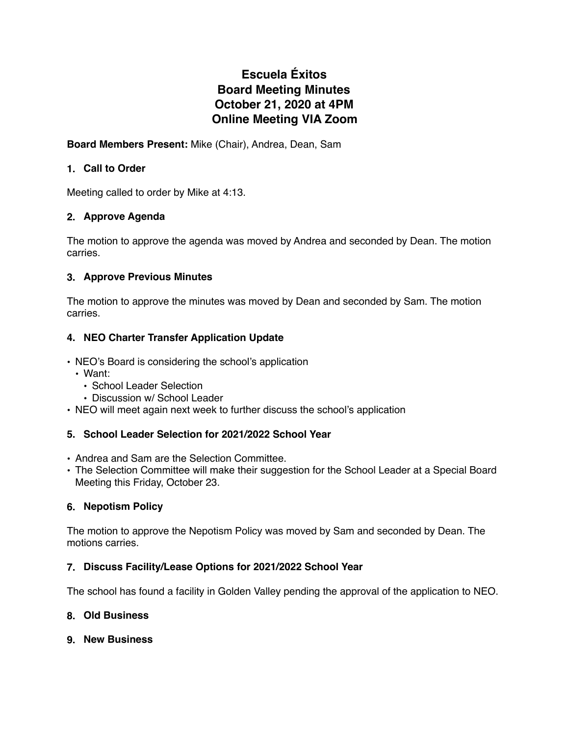# **Escuela Éxitos Board Meeting Minutes October 21, 2020 at 4PM Online Meeting VIA Zoom**

**Board Members Present:** Mike (Chair), Andrea, Dean, Sam

## **1. Call to Order**

Meeting called to order by Mike at 4:13.

### **2. Approve Agenda**

The motion to approve the agenda was moved by Andrea and seconded by Dean. The motion carries.

#### **3. Approve Previous Minutes**

The motion to approve the minutes was moved by Dean and seconded by Sam. The motion carries.

## **4. NEO Charter Transfer Application Update**

- NEO's Board is considering the school's application
	- Want:
		- School Leader Selection
		- Discussion w/ School Leader
- NEO will meet again next week to further discuss the school's application

## **5. School Leader Selection for 2021/2022 School Year**

- Andrea and Sam are the Selection Committee.
- The Selection Committee will make their suggestion for the School Leader at a Special Board Meeting this Friday, October 23.

#### **6. Nepotism Policy**

The motion to approve the Nepotism Policy was moved by Sam and seconded by Dean. The motions carries.

#### **7. Discuss Facility/Lease Options for 2021/2022 School Year**

The school has found a facility in Golden Valley pending the approval of the application to NEO.

#### **8. Old Business**

**9. New Business**